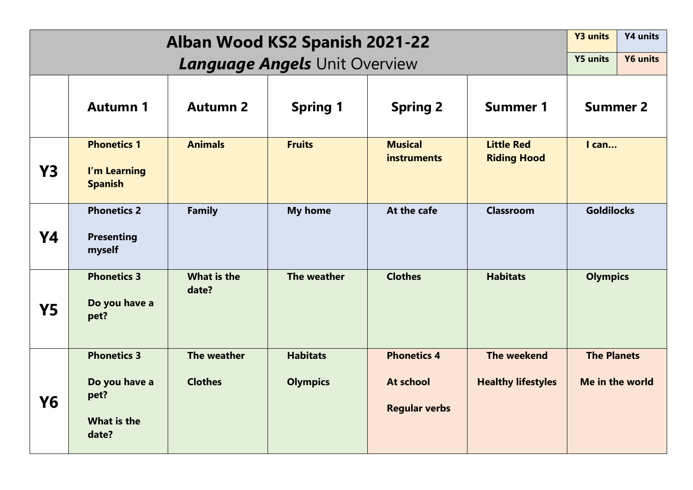|           | <b>Y3 units</b>                                                            | Y4 units                             |                                    |                                                         |                                          |                                       |  |
|-----------|----------------------------------------------------------------------------|--------------------------------------|------------------------------------|---------------------------------------------------------|------------------------------------------|---------------------------------------|--|
|           | <b>Y5 units</b>                                                            | <b>Y6 units</b>                      |                                    |                                                         |                                          |                                       |  |
|           | <b>Autumn 1</b>                                                            | <b>Autumn 2</b>                      | <b>Spring 1</b>                    | <b>Spring 2</b>                                         | <b>Summer 1</b>                          | <b>Summer 2</b>                       |  |
| <b>Y3</b> | <b>Phonetics 1</b><br>I'm Learning<br><b>Spanish</b>                       | <b>Animals</b>                       | <b>Fruits</b>                      | <b>Musical</b><br><b>instruments</b>                    | <b>Little Red</b><br><b>Riding Hood</b>  | $l$ can                               |  |
| <b>Y4</b> | <b>Phonetics 2</b><br><b>Presenting</b><br>myself                          | <b>Family</b>                        | <b>My home</b>                     | At the cafe                                             | <b>Classroom</b>                         | <b>Goldilocks</b>                     |  |
| <b>Y5</b> | <b>Phonetics 3</b><br>Do you have a<br>pet?                                | What is the<br>date?                 | The weather                        | <b>Clothes</b>                                          | <b>Habitats</b>                          | <b>Olympics</b>                       |  |
| Y6        | <b>Phonetics 3</b><br>Do you have a<br>pet?<br><b>What is the</b><br>date? | <b>The weather</b><br><b>Clothes</b> | <b>Habitats</b><br><b>Olympics</b> | <b>Phonetics 4</b><br>At school<br><b>Regular verbs</b> | The weekend<br><b>Healthy lifestyles</b> | <b>The Planets</b><br>Me in the world |  |